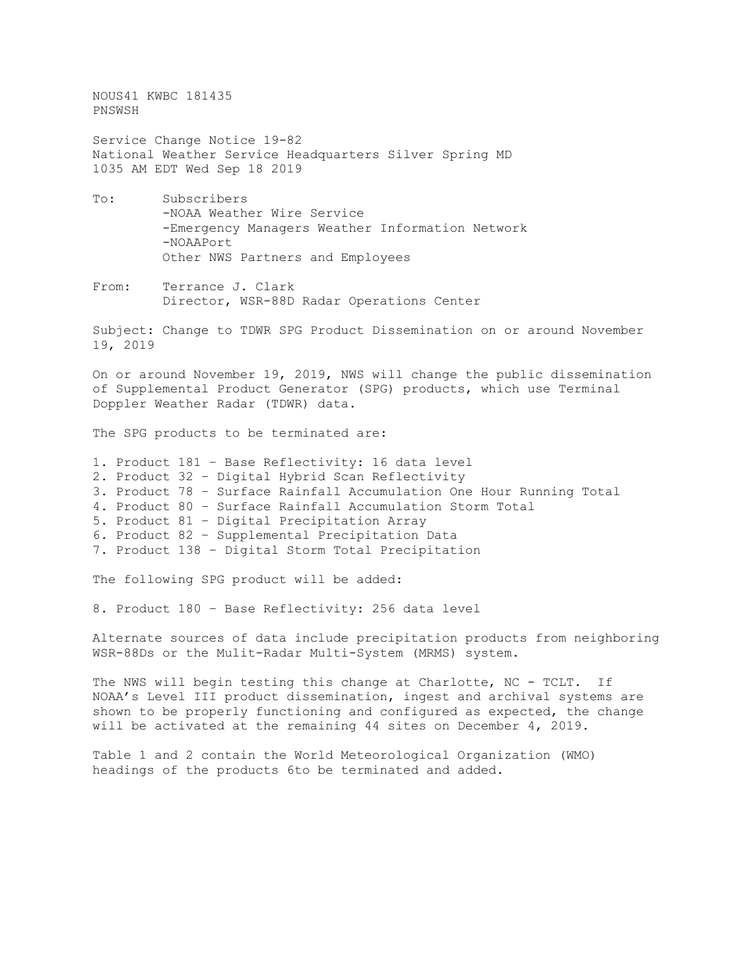NOUS41 KWBC 181435 PNSWSH

Service Change Notice 19-82 National Weather Service Headquarters Silver Spring MD 1035 AM EDT Wed Sep 18 2019

- To: Subscribers -NOAA Weather Wire Service -Emergency Managers Weather Information Network -NOAAPort Other NWS Partners and Employees
- From: Terrance J. Clark Director, WSR-88D Radar Operations Center

Subject: Change to TDWR SPG Product Dissemination on or around November 19, 2019

On or around November 19, 2019, NWS will change the public dissemination of Supplemental Product Generator (SPG) products, which use Terminal Doppler Weather Radar (TDWR) data.

The SPG products to be terminated are:

- 1. Product 181 Base Reflectivity: 16 data level
- 2. Product 32 Digital Hybrid Scan Reflectivity
- 3. Product 78 Surface Rainfall Accumulation One Hour Running Total
- 4. Product 80 Surface Rainfall Accumulation Storm Total
- 5. Product 81 Digital Precipitation Array
- 6. Product 82 Supplemental Precipitation Data
- 7. Product 138 Digital Storm Total Precipitation

The following SPG product will be added:

8. Product 180 – Base Reflectivity: 256 data level

Alternate sources of data include precipitation products from neighboring WSR-88Ds or the Mulit-Radar Multi-System (MRMS) system.

The NWS will begin testing this change at Charlotte, NC - TCLT. If NOAA's Level III product dissemination, ingest and archival systems are shown to be properly functioning and configured as expected, the change will be activated at the remaining 44 sites on December 4, 2019.

Table 1 and 2 contain the World Meteorological Organization (WMO) headings of the products 6to be terminated and added.